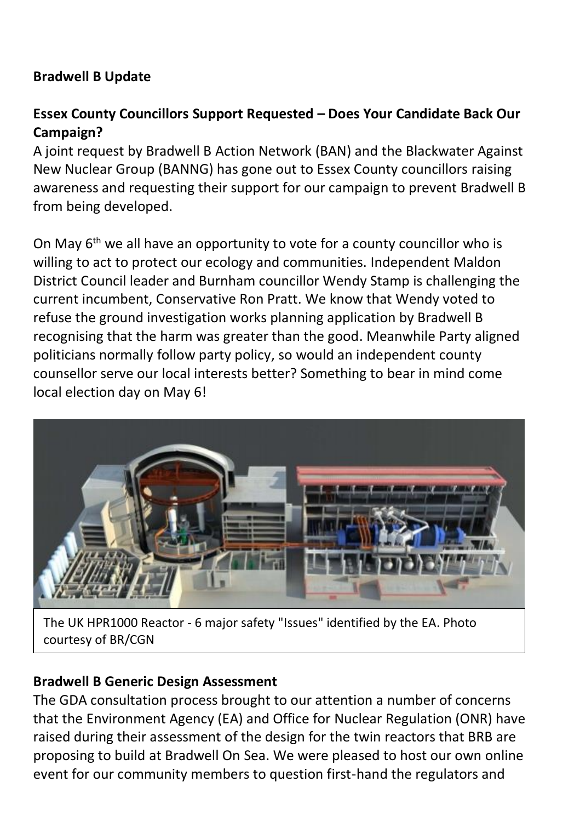## **Bradwell B Update**

## **Essex County Councillors Support Requested – Does Your Candidate Back Our Campaign?**

A joint request by Bradwell B Action Network (BAN) and the Blackwater Against New Nuclear Group (BANNG) has gone out to Essex County councillors raising awareness and requesting their support for our campaign to prevent Bradwell B from being developed.

On May  $6<sup>th</sup>$  we all have an opportunity to vote for a county councillor who is willing to act to protect our ecology and communities. Independent Maldon District Council leader and Burnham councillor Wendy Stamp is challenging the current incumbent, Conservative Ron Pratt. We know that Wendy voted to refuse the ground investigation works planning application by Bradwell B recognising that the harm was greater than the good. Meanwhile Party aligned politicians normally follow party policy, so would an independent county counsellor serve our local interests better? Something to bear in mind come local election day on May 6!



The UK HPR1000 Reactor - 6 major safety "Issues" identified by the EA. Photo courtesy of BR/CGN

## **Bradwell B Generic Design Assessment**

The GDA consultation process brought to our attention a number of concerns that the Environment Agency (EA) and Office for Nuclear Regulation (ONR) have raised during their assessment of the design for the twin reactors that BRB are proposing to build at Bradwell On Sea. We were pleased to host our own online event for our community members to question first-hand the regulators and